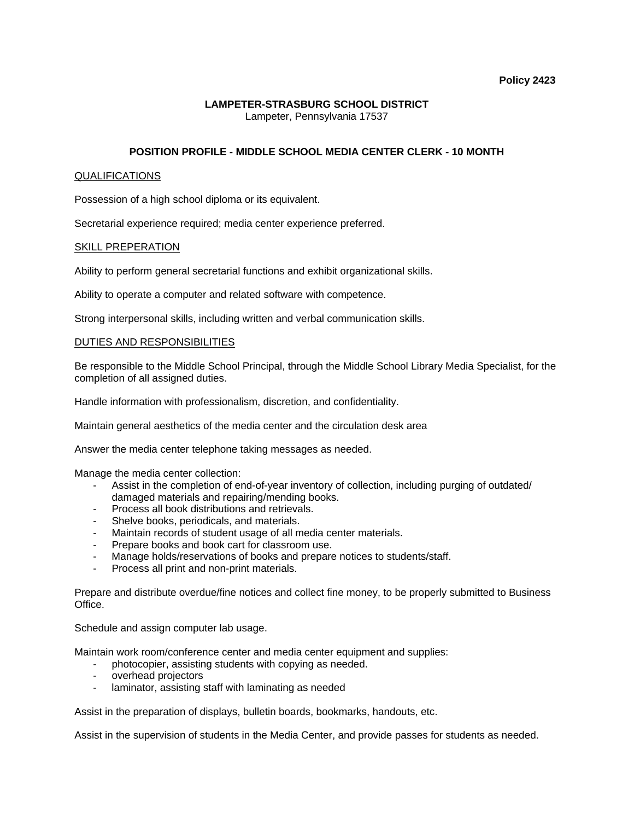## **LAMPETER-STRASBURG SCHOOL DISTRICT**  Lampeter, Pennsylvania 17537

# **POSITION PROFILE - MIDDLE SCHOOL MEDIA CENTER CLERK - 10 MONTH**

### QUALIFICATIONS

Possession of a high school diploma or its equivalent.

Secretarial experience required; media center experience preferred.

#### SKILL PREPERATION

Ability to perform general secretarial functions and exhibit organizational skills.

Ability to operate a computer and related software with competence.

Strong interpersonal skills, including written and verbal communication skills.

#### DUTIES AND RESPONSIBILITIES

Be responsible to the Middle School Principal, through the Middle School Library Media Specialist, for the completion of all assigned duties.

Handle information with professionalism, discretion, and confidentiality.

Maintain general aesthetics of the media center and the circulation desk area

Answer the media center telephone taking messages as needed.

Manage the media center collection:

- Assist in the completion of end-of-year inventory of collection, including purging of outdated/ damaged materials and repairing/mending books.
- Process all book distributions and retrievals.
- Shelve books, periodicals, and materials.
- Maintain records of student usage of all media center materials.
- Prepare books and book cart for classroom use.
- Manage holds/reservations of books and prepare notices to students/staff.
- Process all print and non-print materials.

Prepare and distribute overdue/fine notices and collect fine money, to be properly submitted to Business Office.

Schedule and assign computer lab usage.

Maintain work room/conference center and media center equipment and supplies:

- photocopier, assisting students with copying as needed.
- overhead projectors
- laminator, assisting staff with laminating as needed

Assist in the preparation of displays, bulletin boards, bookmarks, handouts, etc.

Assist in the supervision of students in the Media Center, and provide passes for students as needed.